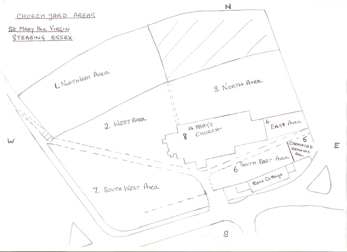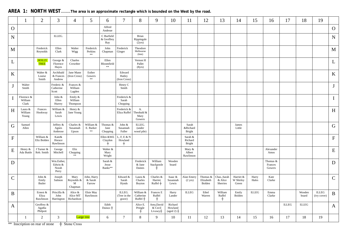## **AREA 1: NORTH WEST........The area is an approximate rectangle which is bounded on the West by the road.**

|                           |                                | $\overline{2}$                   | 3                                       | 4                                               | 5                                  | 6                                 | 7                                    | 8                                         | 9                                  | 10                                         | 11                              | 12                              | 13                                  | 14                              | 15             | 16                            | 17           | 18              | 19                          |              |
|---------------------------|--------------------------------|----------------------------------|-----------------------------------------|-------------------------------------------------|------------------------------------|-----------------------------------|--------------------------------------|-------------------------------------------|------------------------------------|--------------------------------------------|---------------------------------|---------------------------------|-------------------------------------|---------------------------------|----------------|-------------------------------|--------------|-----------------|-----------------------------|--------------|
| $\mathbf{O}$              |                                |                                  |                                         |                                                 |                                    | Alfred<br>Andreae                 |                                      |                                           |                                    |                                            |                                 |                                 |                                     |                                 |                |                               |              |                 |                             | $\mathbf{O}$ |
| $\mathbf N$               |                                |                                  | ILLEG.                                  |                                                 |                                    | C Burfield<br>& Geoffrey<br>Ray   |                                      | Brian<br>Rippingale<br>(2yrs)             |                                    |                                            |                                 |                                 |                                     |                                 |                |                               |              |                 |                             | ${\bf N}$    |
| M                         |                                | Frederick<br>Reynolds            | Ellen<br>Clark                          | Walter<br>Wigg                                  | Frederick<br>Perkins<br>$\ast\ast$ | John<br>Chapman                   | Frederick<br>Ginger                  | Theodore<br>Melbourne<br>(6mt)            |                                    |                                            |                                 |                                 |                                     |                                 |                |                               |              |                 |                             | $\mathbf M$  |
| L                         |                                | <b>HOLLY</b><br><b>TREE</b>      | George &<br>Florence<br>Hayes           | Charles<br>Crowther                             |                                    | Ellen<br>Bloomfield<br>$\ast\ast$ |                                      | Vernon H<br>Pallet<br>(8yrs)              |                                    |                                            |                                 |                                 |                                     |                                 |                |                               |              |                 |                             | $\mathbf L$  |
| K                         |                                | Walter &<br>Louise<br>Smith      | Archibald<br>& Frances<br>Andrew        | Jane Mann<br>(Iron Cross)                       | Esther<br>Gowers<br>$**$           |                                   | Edward<br>Hatley<br>(Iron Cross)     |                                           |                                    |                                            |                                 |                                 |                                     |                                 |                |                               |              |                 |                             | $\rm K$      |
|                           | Walter<br>Smith                |                                  | Frederic &<br>Catherine<br>Scott        | Frances &<br>William<br>Lagden                  |                                    |                                   | Henry C<br>Smith                     |                                           |                                    |                                            |                                 |                                 |                                     |                                 |                |                               |              |                 |                             | $\mathbf{J}$ |
| $\bf{I}$                  | Florence &<br>William<br>Clark |                                  | John &<br>Ellen<br>Hurrey               | Emily &<br>William<br>Thompson                  |                                    |                                   | Frederick &<br>Sarah<br>Chopping     |                                           |                                    |                                            |                                 |                                 |                                     |                                 |                |                               |              |                 |                             | $\bf{I}$     |
| $\boldsymbol{\mathrm{H}}$ | Laura &<br>William<br>Young    | Frances<br>Hookway               | William &<br>Sarah<br>Lewis             | Henry &<br>Jane Young                           |                                    |                                   | Frederick &<br>Eliza Ruffel          | A.<br>Theobald &<br>Mary<br>Gowers        |                                    |                                            |                                 |                                 |                                     |                                 |                |                               |              |                 |                             | $\, {\rm H}$ |
| G                         | Samuel<br>Allen                |                                  | Jeffrey &<br>Agnes<br>Ambrose           | Charles &<br>Susannah<br>Upson                  | William &<br>E. Barker<br>$\pm\pm$ | Thomas &<br>Jane<br>Chopping      | John &<br>Susannah<br>Fuller         | ILLEG.<br>(under<br>wood pile)            |                                    |                                            | Sarah<br>&Richard<br>Bright     |                                 |                                     | James<br>Little                 |                |                               |              |                 |                             | $\mathbf G$  |
| ${\bf F}$                 |                                | William &<br>Eliz Bolden         | Kate&<br>Horace<br>Rawlinson            |                                                 |                                    | Ellen & Wil.<br>Claydon<br>$^{+}$ | L, F, E & N<br>Howland<br>$\ddagger$ |                                           |                                    |                                            | Sarah &<br>Richard<br>Bright    |                                 |                                     |                                 |                |                               |              |                 |                             | ${\bf F}$    |
| E                         | Henry &<br>Ada Buttle          | J Turner &<br>Reb. Smith         | George<br>Mitchell                      | Eliz<br>$\operatorname{Chopping}$<br>$\ast\ast$ |                                    | Walter &<br>Mary<br>Wright        |                                      |                                           |                                    |                                            | Mary &<br>Albert<br>Rawlinson   |                                 |                                     |                                 |                | Alexander<br>Amos             |              |                 |                             | ${\bf E}$    |
| D                         |                                |                                  | Wm.Esther,<br>Edwin &<br>Norah<br>Perry |                                                 |                                    | Sarah &<br>Jesse<br>Banks**       |                                      | Frederick<br>& Jane<br>Daines             | William<br>Stackpoole              | Wooden<br>board                            |                                 |                                 |                                     |                                 |                | Thomas &<br>Frances<br>Gowers |              |                 |                             | $\mathbf D$  |
| $\mathsf{C}$              |                                | John &<br>Emily<br><b>Butler</b> | Joseph<br>Salmon                        | Mary<br>Reynolds &<br>M<br>Chapman              | John, Harry<br>& Sarah<br>Farrow   |                                   | Edward &<br>Sarah<br>Hynds           | Laura &<br>Charles<br>Boyton              | Charles &<br>Harriet<br>$Ruffel +$ | Isaac &<br>Susannah<br>Lewis               | Alan Emery<br>$(2 \text{ yrs})$ | Thomas &<br>Elizabeth<br>Bolden | Chas., Sarah<br>& Alice<br>Sherries | Harriet &<br>W Shirley<br>Green | Harry<br>Hales | Kate<br>Clarke                |              |                 |                             | $\mathbf C$  |
| $\bf{B}$                  |                                | Ernest &<br>Eliza<br>Rawlinson   | Priscilla &<br>John<br>Harrington       | Alice &<br>Alice MT<br>Richardson               | Elsie May<br>Rawlinson             |                                   | ILLEG.<br>(Tree in the<br>grave)     | William &<br>$\frac{Catherine}{Ruffel} +$ | Frances E<br>Ruffel<br>$^+$        | Harry<br>Lander                            | <b>ILLEG</b>                    | Ethel<br>Warren                 | William<br>Ruffel<br>$+$            | Emily<br>Bolden                 | <b>ILLEG</b>   | Emma<br>Clarke                |              | Wooden<br>board | <b>ILLEG</b><br>(ivy cover) | $\, {\bf B}$ |
| A                         |                                | Geoffrey &<br>Agatha<br>Philpott |                                         |                                                 |                                    | Edith<br>Daines $+$               |                                      | Alice E.<br>Pringle<br>$^{+}$             | Amy,David<br>& Cecil<br>Livesey+   | Richard<br>Howland<br>$(\text{aged } 2)$ + |                                 |                                 |                                     |                                 |                |                               | <b>ILLEG</b> | <b>ILLEG</b>    |                             | A            |
|                           |                                | $\overline{2}$                   | 3                                       |                                                 | Large tree                         | 6                                 | $\tau$                               | 8                                         | 9                                  | 10                                         | 11                              | 12                              | 13                                  | 14                              | 15             | 16                            | 17           | 18              | 19                          |              |

\*\* Inscription on rear of stone + Stone Cross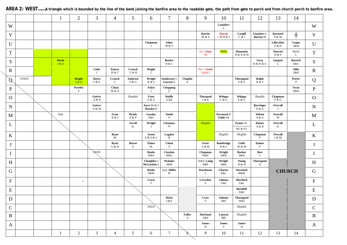|              |              | $\mathbf{1}$          | $\overline{2}$                       | 3                     | $\overline{4}$         | $\mathfrak{S}$        | 6                                | $\overline{7}$                         | $8\,$                  | 9                                       | 10                         | 11                                   | 12                                   | 13                           | 14                    |              |
|--------------|--------------|-----------------------|--------------------------------------|-----------------------|------------------------|-----------------------|----------------------------------|----------------------------------------|------------------------|-----------------------------------------|----------------------------|--------------------------------------|--------------------------------------|------------------------------|-----------------------|--------------|
| W            |              |                       |                                      |                       |                        |                       |                                  |                                        |                        |                                         | Launders<br>L              |                                      |                                      |                              |                       | W            |
| V            |              |                       |                                      |                       |                        |                       |                                  |                                        |                        | <b>Barritt</b><br>M & E                 | <b>Martin</b><br>L & H & J | Cargill<br>C & I                     | <b>Launders</b> L<br><b>Burton</b> M | <b>Barnard</b><br>P & M      | $\pm$                 | $\mathbf V$  |
| U            |              |                       |                                      |                       |                        |                       | Chapman                          | Johns<br>M & T                         |                        |                                         |                            |                                      |                                      | Lillywhite<br>S & D          | <b>Gypps</b><br>J&M   | U            |
| $\mathbf T$  |              |                       |                                      |                       |                        |                       |                                  |                                        |                        | A/C Johns<br>M                          | <b>TREE</b>                | Mountain<br><b>H &amp; K &amp; H</b> |                                      | Harrod<br>$\rm H\,\&\,\rm F$ | Hicks<br>$\mathbf L$  | $\mathbf T$  |
| ${\bf S}$    |              | <b>Bavin</b><br>J & A |                                      |                       |                        |                       |                                  | <b>Barker</b><br>B & L                 |                        |                                         |                            |                                      | Gray<br>R & R & E                    | Sargent<br>L                 | <b>Barrick</b><br>E&G | ${\bf S}$    |
| $\mathbf R$  |              |                       |                                      | Little<br>J           | <b>Emery</b><br>H & C  | Crouch<br>V & H       | <b>Bright</b><br>$\mathbf{C}$    |                                        |                        | Pte C Smith<br>Smith J                  |                            |                                      |                                      |                              | <b>Allin</b><br>J&R   | $\mathbf R$  |
| Ø            | <b>STEPS</b> |                       | <b>Bright</b><br>J & G               | <b>Hayes</b><br>F & E | Crouch<br>$\mathbf C$  | Ambrose<br>S & G      | Wright<br>K & F                  | Sanderson G<br><b>Garratt E</b>        | Chaplin<br>$\mathbf E$ |                                         |                            | Thorogood<br>F & E                   | Rolph<br>H & F                       |                              | Porter<br>P           | Q            |
| ${\bf P}$    |              |                       | Pavelin<br>$\boldsymbol{\mathrm{F}}$ |                       | ${\bf Choat}$<br>W & A |                       | Askey<br>$\mathbf{J}$            | $\underset{\text{G}}{\text{Chopping}}$ |                        |                                         |                            |                                      |                                      |                              | Swan<br>P&H           | ${\bf P}$    |
| $\mathbf{O}$ |              |                       |                                      | Guiver<br>A & B       |                        | Illegible             | Frost<br>E & A                   | Ruffle<br>A & E                        |                        | <b>Thurgood</b><br>J & E                | Whipps<br>C & G            | <b>Whipps</b><br>E & G               | Illegible                            | Chapman<br>F & G             |                       | $\mathbf{O}$ |
| N            |              |                       |                                      | Guiver<br>A & M       |                        |                       | Joyce M $\&$ S<br>Hayden D       |                                        |                        |                                         |                            |                                      | <b>Barringer</b><br>E & A            | Overall<br>J                 |                       | ${\bf N}$    |
| M            |              | Path                  |                                      |                       | Frost<br>R & J         | <b>Hynds</b><br>E & P | Gooday<br>E&C                    | Smith<br>$\Omega$                      |                        |                                         | Newstead D<br>Fuller M     |                                      | Wilson<br>S & A                      | Overall<br>W                 |                       | M            |
| L            |              |                       |                                      |                       |                        | Jewell<br>R.          | Wright<br>$\mathbf{J}$           | Chasmar<br>M                           |                        | Illegible                               |                            | Pymar W<br>RT & ET                   | <b>Daines</b><br>A & R               | Overall<br>R                 |                       | L            |
| K            |              |                       |                                      |                       | <b>Byatt</b><br>M      |                       | Aston<br>E & A & C               | Lagden<br>R                            |                        |                                         | Illegible                  | Illegible                            | Chapman<br>$\mathbf{F}$              | Overall<br>J & M             |                       | $\bf K$      |
| $\bf J$      |              |                       |                                      |                       | <b>Byatt</b><br>G & H  | <b>Howes</b><br>E     | <b>Elmes</b><br>W.               | Choat<br>S                             |                        | Frost<br>T & M                          | <b>Bambridge</b><br>R & F  | Little<br>W & M                      | <b>Daines</b><br>$\, {\bf F} \,$     |                              |                       | $\bf J$      |
| $\mathbf I$  |              |                       |                                      | <b>PATH</b>           |                        |                       | <b>Banks</b><br>R&S              | Claydon<br>B&E                         |                        | Chapman W&F                             | Wright<br>A&D              | <b>Barker</b><br>S&D                 | <b>Best</b><br>C                     |                              |                       | $\bf{I}$     |
| H            |              |                       |                                      |                       |                        |                       | Cloughley J<br><b>McGachen S</b> | <b>Nicholas</b><br>J&M                 |                        | $\operatorname{\rm Sub}/L$ Laing<br>P&P | Wright<br>H&E              | Young<br>H & H                       | <b>Thorogood</b><br>$\mathbf{A}$     |                              |                       | H            |
| G            |              |                       |                                      |                       |                        |                       | <b>Banks</b><br>S&M              | Sq/L Miller<br>$\ensuremath{\text{W}}$ |                        | Rawlinson<br>L                          | Charter<br>$\mbox{E\&L}$   | Howland<br>R&M                       |                                      |                              | <b>CHURCH</b>         | $\mathbf G$  |
| ${\bf F}$    |              |                       | $\overline{1}$                       |                       |                        |                       | Lewis<br>T                       |                                        |                        | Crowther<br>E                           | Salmon<br>G&J              | <b>Mortlock</b><br>L&L               |                                      |                              |                       | ${\bf F}$    |
| ${\bf E}$    |              |                       |                                      |                       |                        |                       |                                  |                                        |                        |                                         |                            | <b>Burnhill</b><br>E&S               |                                      |                              |                       | ${\bf E}$    |
| $\mathbf D$  |              |                       |                                      |                       |                        |                       |                                  | <b>Hicks</b><br>L&A                    |                        | <b>Crow</b><br>F                        | Salmon<br>J&F              | <b>Thorogood</b><br>W&J              |                                      |                              |                       | D            |
| $\mathbf C$  |              |                       |                                      |                       |                        |                       | <b>PATH</b>                      |                                        |                        |                                         |                            | Illegible                            |                                      |                              |                       | $\mathbf C$  |
| $\, {\bf B}$ |              |                       |                                      |                       |                        |                       |                                  |                                        | <b>Fuller</b><br>A     | Howland<br>A&F                          | Lanyon<br>J&E              | Illegible                            |                                      |                              |                       | $\, {\bf B}$ |
| A            |              |                       |                                      |                       |                        |                       |                                  |                                        |                        | <b>James</b><br>H                       | <b>James</b><br>S          | <b>James</b><br>H                    |                                      |                              |                       | $\mathbf{A}$ |
|              |              | $\mathbf{1}$          | 2                                    | $\mathfrak{Z}$        | $\overline{4}$         | 5 <sup>5</sup>        | 6                                | $7\overline{ }$                        | 8                      | 9                                       | $10\,$                     | $11\,$                               | 12                                   | 13                           | 14                    |              |

 $\diagdown$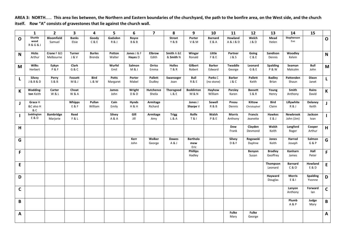**AREA 3: NORTH**…… **This area lies between, the Northern and Eastern boundaries of the churchyard, the path to the bonfire area, on the West side, and the church itself. Row "A" consists of gravestones that lie against the church wall.**

|              | 1                                       | $\mathbf{2}$                 | 3                       | 4                       | 5                        | 6                        | $\overline{ }$           | 8                               | 9                                  | 10                                 | 11                              | 12                               | 13                            | 14                       | 15                        |                           |
|--------------|-----------------------------------------|------------------------------|-------------------------|-------------------------|--------------------------|--------------------------|--------------------------|---------------------------------|------------------------------------|------------------------------------|---------------------------------|----------------------------------|-------------------------------|--------------------------|---------------------------|---------------------------|
| $\Omega$     | Shuttle<br>wood<br><b>R&amp;G&amp;J</b> | <b>Bloomfield</b><br>Samuel  | <b>Banks</b><br>Elsie   | Goody<br>C & E          | Gadsdon<br>R&J           | Royce<br><b>B&amp;B</b>  |                          | <b>Street</b><br>Y&B            | Porter<br>V&M                      | <b>Barnard</b><br><b>E &amp; A</b> | Howland<br><b>A&amp;J&amp;D</b> | Welch<br>J&D                     | Mead<br>Helen                 | Stephenson<br>Eve        |                           | $\mathbf{o}$              |
| N            | <b>Hicks</b><br>Arthur                  | Crane F &D<br>Melbourne      | <b>Turner</b><br>J&V    | <b>Burles</b><br>Brenda | Potton<br>Walter         | Jones J & F<br>Hayes D   | <b>Elbrow</b><br>Edith   | Smith A &E<br>& Smith N         | Wingar<br>Ronald                   | Little<br>F & E                    | Partner<br>J & S                | Going<br>C&E                     | Sandison<br>Dennis            | <b>Woodley</b><br>Kelvin |                           | $\mathsf{N}$              |
| M            | <b>Wilks</b><br>Herbert                 | Eykyn<br>P&F                 | Clark<br>G&C            |                         | Wurfel<br>Emil           | Salmon<br>M&J            | Orriss<br>Emma           | <b>Holles</b><br><b>T&amp;R</b> | Gilbert<br>Robert                  | <b>Barker</b><br>Edward            | Twaddle<br>George               | Leonard<br>G & E                 | Spalding<br><b>P&amp;W</b>    | Seaman<br>Malcolm        | <b>Bull</b><br>John       | M                         |
| L            | Silvey<br><b>J&amp;B&amp;D</b>          | Perry<br><b>S&amp;B</b>      | Fossett<br>M&J          | <b>Bird</b><br>L & W    | <b>Potts</b><br>Margaret | Porter<br>Mabel          | <b>Pallett</b><br>Dudley | Swanseger<br>Joan               | Bull<br>R&E                        | Parks C<br>(no stone)              | <b>Barker</b><br>J&C            | Pallett<br>Keith                 | <b>Badley</b><br><b>Brian</b> | Pattenden<br>Shaun       | Dixon<br>Janet            | L.                        |
| К            | Wadding-<br>ton Keith                   | Carter<br>W&L                | Choat<br><b>W&amp;A</b> |                         | James<br>John            | Wright<br><b>D&amp;D</b> | Hutchence<br>Sheila      | Thorogood<br>L&E                | <b>Boddinton</b><br><b>M&amp;N</b> | Hayhow<br>William                  | Parsley<br>Karen                | <b>Bassett</b><br><b>S&amp;R</b> | Young<br>Henry                | Smith<br>Anthony         | Rains<br>David            | K                         |
| J            | Grace H<br>&C also H<br>& C             |                              | Whipps<br>E&F           | Pullan<br>William       | Cain<br>Emily            | <b>Hynds</b><br>H&H      | Armitage<br>Richard      |                                 | Jones J<br>Sharpe V                | Sewell<br>R&B                      | Preou<br>Dennis                 | Kittow<br>Christopher            | <b>Bird</b><br>Claire         | Lillywhite<br>R&J        | Delaney<br>Keith          | $\mathsf{J}$              |
|              | Saddington<br>E & D                     | <b>Bambridge</b><br>Marjorie | Reed<br>F & L           |                         | Silvey<br>A&A            | Gill<br>Jill             | Armitage<br>Amy          | <b>Trigg</b><br>L & A           | Rolfe<br><b>T&amp;I</b>            | Walsh<br><b>P&amp;E</b>            | <b>Morris</b><br>Anthony        | <b>Francis</b><br>Jeanette       | Hawkes<br>E&J                 | Newbrook<br>John (Jim)   | Jackson<br>Ivan           | $\mathbf{L}$              |
| H            |                                         |                              |                         |                         |                          |                          |                          |                                 |                                    |                                    | Dow<br>Frank                    | Clayden<br>Desmond               | Walsh<br>Keith                | Langford<br>Roger        | Cooper<br>Arthur          | H                         |
| G            |                                         |                              |                         |                         |                          | Kerr<br>John             | Walker<br>George         | Dawes<br>A&J                    | <b>Bartholo</b><br>mew<br>Eric     |                                    | Silvey<br><b>D&amp;F</b>        | Rogowski<br>Daphne               | Jones<br>Keith                | Harrod<br>Joseph         | Salmon<br>G & P           | G                         |
| F            |                                         |                              |                         |                         |                          |                          |                          |                                 | <b>Phillips</b><br>Hadley          |                                    |                                 | Benyon<br>Susan                  | <b>Bradley</b><br>Geoffrey    | Kanharn<br>James         | Hall<br>Peter             | F.                        |
| E            |                                         |                              |                         |                         |                          |                          |                          |                                 |                                    |                                    |                                 |                                  | Thompson<br>Leonard           | <b>Barnard</b><br>C & O  | Howland<br>E&D            | ${\sf E}$                 |
| D            |                                         |                              |                         |                         |                          |                          |                          |                                 |                                    |                                    |                                 |                                  | Hayward<br>Douglas            | <b>Morris</b><br>E & I   | <b>Spalding</b><br>Yvonne | D                         |
| $\mathsf{C}$ |                                         |                              |                         |                         |                          |                          |                          |                                 |                                    |                                    |                                 |                                  |                               | Lanyon<br>Anthony        | Forward<br>lan            | $\mathsf{C}$              |
| B            |                                         |                              |                         |                         |                          |                          |                          |                                 |                                    |                                    |                                 |                                  |                               | Plumb<br>A&P             | Judge<br>Mary             | B                         |
| A            |                                         |                              |                         |                         |                          |                          |                          |                                 |                                    |                                    | <b>Fulke</b><br>Mary            | <b>Fulke</b><br>George           |                               |                          |                           | $\boldsymbol{\mathsf{A}}$ |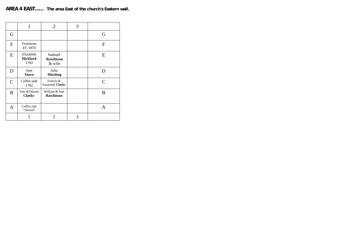|                | 1                                    | 2                                    | 3 |              |
|----------------|--------------------------------------|--------------------------------------|---|--------------|
| G              |                                      |                                      |   | G            |
| $\overline{F}$ | Footstone<br><b>EC 1870</b>          |                                      |   | F            |
| E              | Elizabeth<br><b>Hickford</b><br>1782 | Samuel<br><b>Rawlinson</b><br>& wife |   | E            |
| D              | Jane<br><b>Starn</b>                 | Julia<br><b>Hitching</b>             |   | D            |
| $\mathcal{C}$  | Coffin slab<br>1782                  | Francis &<br>Susannah Clarke         |   | $\mathsf{C}$ |
| B              | Ann & Tabram<br><b>Clarke</b>        | William & Ann<br><b>Rawlinson</b>    |   | B            |
| A              | Coffin slab<br>"shroud"              |                                      |   | А            |
|                |                                      | 2                                    | 3 |              |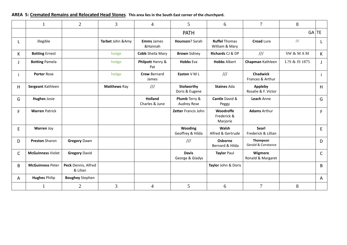## **AREA 5: Cremated Remains and Relocated Head Stones**. **This area lies in the South East corner of the churchyard.**

|    |                          | $\overline{2}$                  | 3                   | $\overline{4}$                   | 5                               | 6                                      | $\overline{7}$                      | 8             |              |
|----|--------------------------|---------------------------------|---------------------|----------------------------------|---------------------------------|----------------------------------------|-------------------------------------|---------------|--------------|
|    |                          |                                 |                     |                                  | <b>PATH</b>                     |                                        |                                     |               | $GA$ TE      |
| L. | illegible                |                                 | Tarbet John & Amy   | <b>Emms</b> James<br>&Hannah     | Hounson? Sarah                  | <b>Ruffel Thomas</b><br>William & Mary | <b>Croad Lura</b>                   | $/ \! / \! /$ | L.           |
| K  | <b>Botting Ernest</b>    |                                 | hedge               | <b>Cobb Sheila Mary</b>          | <b>Brown</b> Sidney             | Richards CJ & DP                       | III                                 | SW & MAM      | $\mathsf{K}$ |
| J  | <b>Botting Pamela</b>    |                                 | hedge               | Philpott Henry &<br>Pat          | <b>Hobbs Eva</b>                | <b>Hobbs Albert</b>                    | Chapman Kathleen                    | L?S & JS 1875 | J            |
| j. | <b>Porter Rose</b>       |                                 | hedge               | <b>Crow Bernard</b><br>James     | Easton V M L                    | $\frac{1}{1}$                          | <b>Chadwick</b><br>Frances & Arthur |               | Ť            |
| H  | Sergeant Kathleen        |                                 | <b>Matthews Ray</b> | $\frac{1}{1}$                    | Stolworthy<br>Doris & Eugene    | <b>Staines Ada</b>                     | Appleby<br>Rosalie & F. Victor      |               | H            |
| G  | <b>Hughes Josie</b>      |                                 |                     | <b>Holland</b><br>Charles & June | Plumb Terry &<br>Audrey Rose    | Cantle David &<br>Peggy                | Leach Anne                          |               | G            |
| F. | <b>Warren Patrick</b>    |                                 |                     |                                  | Zetter Francis John             | Woodroffe<br>Frederick &<br>Marjorie   | <b>Adams Arthur</b>                 |               | F.           |
| E  | Warren Joy               |                                 |                     |                                  | Wooding<br>Geoffrey & Hilda     | Walsh<br>Alfred & Gertrude             | Searl<br>Frederick & Lillian        |               | E.           |
| D  | <b>Preston Sharon</b>    | <b>Gregory Dawn</b>             |                     |                                  | $\frac{1}{1}$                   | Osborne<br>Bernard & Hilda             | Thompson<br>Gerald & Constance      |               | D            |
| C  | <b>McGuinness Violet</b> | <b>Gregory David</b>            |                     |                                  | <b>Davis</b><br>George & Gladys | <b>Taylor Paul</b>                     | Wigmore<br>Ronald & Margaret        |               | C            |
| B  | <b>McGuinness Peter</b>  | Peck Dennis, Alfred<br>& Lilian |                     |                                  |                                 | Taylor John & Doris                    |                                     |               | B            |
| A  | <b>Hughes Philip</b>     | <b>Boughey Stephen</b>          |                     |                                  |                                 |                                        |                                     |               | A            |
|    |                          | $\overline{2}$                  | $\mathfrak{Z}$      | 4                                | 5                               | 6                                      | $\overline{7}$                      | 8             |              |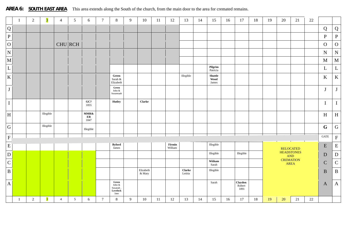AREA 6: SOUTH EAST AREA This area extends along the South of the church, from the main door to the area for cremated remains.

|                | -1                        | 2          | $\overline{\mathbf{3}}$ | $\overline{4}$ | $5\overline{)}$ | 6                                                  | $\overline{7}$  | 8                                                          | 9 | 10                  | 11 | 12                | 13                       | 14 | 15                               | 16 | 17                        | 18 | 19 | 20 | 21                                                   | 22     |              |              |
|----------------|---------------------------|------------|-------------------------|----------------|-----------------|----------------------------------------------------|-----------------|------------------------------------------------------------|---|---------------------|----|-------------------|--------------------------|----|----------------------------------|----|---------------------------|----|----|----|------------------------------------------------------|--------|--------------|--------------|
|                | ${\bf Q}$                 |            |                         |                |                 |                                                    |                 |                                                            |   |                     |    |                   |                          |    |                                  |    |                           |    |    |    |                                                      |        | Q            | Q            |
|                | $\, {\bf P}$              |            |                         |                |                 |                                                    |                 |                                                            |   |                     |    |                   |                          |    |                                  |    |                           |    |    |    |                                                      |        | $\, {\bf P}$ | $\, {\bf P}$ |
| $\overline{O}$ |                           |            |                         |                | $CHU$ RCH       |                                                    |                 |                                                            |   |                     |    |                   |                          |    |                                  |    |                           |    |    |    |                                                      |        | $\mathbf{O}$ | ${\cal O}$   |
| ${\bf N}$      |                           |            |                         |                |                 |                                                    |                 |                                                            |   |                     |    |                   |                          |    |                                  |    |                           |    |    |    |                                                      |        | ${\bf N}$    | ${\bf N}$    |
| $\mathbf M$    |                           |            |                         |                |                 |                                                    |                 |                                                            |   |                     |    |                   |                          |    |                                  |    |                           |    |    |    |                                                      |        | $\mathbf{M}$ | $\mathbf M$  |
|                | $\bf L$                   |            |                         |                |                 |                                                    |                 |                                                            |   |                     |    |                   |                          |    | Pilgrim<br>Patricia              |    |                           |    |    |    |                                                      |        | L            | $\mathbf{L}$ |
|                | $\bf K$                   |            |                         |                |                 |                                                    |                 | Green<br>Sarah &<br>Elizabeth                              |   |                     |    |                   | Illegible                |    | ${\bf Shuttle}$<br>Wood<br>James |    |                           |    |    |    |                                                      |        | $\bf K$      | $\bf K$      |
|                | $\bf J$                   |            |                         |                |                 |                                                    |                 | Green<br>John $\&$<br>Susannaah                            |   |                     |    |                   |                          |    |                                  |    |                           |    |    |    |                                                      |        | $\bf J$      | J            |
|                | $\rm I$                   |            |                         |                |                 | GC?<br>1855                                        |                 | <b>Hutley</b>                                              |   | <b>Clarke</b>       |    |                   |                          |    |                                  |    |                           |    |    |    |                                                      |        | $\mathbf I$  | $\bf I$      |
|                | $\boldsymbol{\mathrm{H}}$ |            | Illegible               |                |                 | $\textbf{MMR}\textbf{\&}$<br>$\mathbf{ER}$<br>1847 |                 |                                                            |   |                     |    |                   |                          |    |                                  |    |                           |    |    |    |                                                      |        | H            | $\, {\rm H}$ |
|                | ${\bf G}$                 |            | Illegible               |                |                 | Illegible                                          |                 |                                                            |   |                     |    |                   |                          |    |                                  |    |                           |    |    |    |                                                      |        | $\mathbf G$  | G            |
|                | $\mathbf F$               |            |                         |                |                 |                                                    |                 |                                                            |   |                     |    |                   |                          |    |                                  |    |                           |    |    |    |                                                      |        | GATE         | $\mathbf F$  |
|                | ${\bf E}$                 |            |                         |                |                 |                                                    |                 | <b>Byford</b><br>James                                     |   |                     |    | Firmin<br>William |                          |    | Illegible                        |    |                           |    |    |    | <b>RELOCATED</b>                                     |        | ${\bf E}$    | ${\bf E}$    |
| $\vert$ D      |                           |            |                         |                |                 |                                                    |                 |                                                            |   |                     |    |                   |                          |    | Illegible                        |    | Illegible                 |    |    |    | <b>HEADSTONES</b>                                    |        | $\mathbf D$  | ${\bf D}$    |
|                | ${\bf C}$                 |            |                         |                |                 |                                                    |                 |                                                            |   |                     |    |                   |                          |    | Witham<br>Sarah                  |    |                           |    |    |    | $\frac{\text{AND}}{\text{CREMATION}}$<br><b>AREA</b> |        | $\mathbf C$  | ${\bf C}$    |
|                | $\, {\bf B}$              |            |                         |                |                 |                                                    |                 |                                                            |   | Elizabeth<br>& Mary |    |                   | <b>Clarke</b><br>Letitia |    | Illegible                        |    |                           |    |    |    |                                                      |        | $\, {\bf B}$ | $\, {\bf B}$ |
|                | $\mathbf A$               |            |                         |                |                 |                                                    |                 | ${\bf Green}$<br>John $\&$<br>Susanah.<br>Lovelock<br>Jane |   |                     |    |                   |                          |    | Sarah                            |    | Claydon<br>Robert<br>1891 |    |    |    |                                                      |        | $\mathbf{A}$ | $\mathbf{A}$ |
|                | $\overline{1}$            | $\sqrt{2}$ | $\overline{\mathbf{3}}$ | $\overline{4}$ | 5               | 6                                                  | $7\phantom{.0}$ | $8\,$                                                      | 9 | $10\,$              | 11 | 12                | 13                       | 14 | 15                               | 16 | 17                        | 18 | 19 | 20 | 21                                                   | $22\,$ |              |              |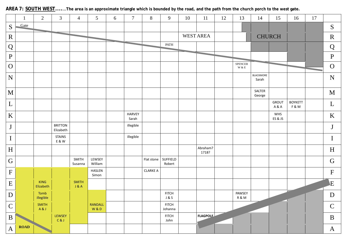|               |             | $\overline{2}$           | 3                           | $\overline{4}$        | $5\overline{)}$       | 6                 | $\overline{7}$         | $8\,$           | 9                       | 10 | 11                | 12 | 13                            | 14                 | 15            | 16                    | 17 |                           |
|---------------|-------------|--------------------------|-----------------------------|-----------------------|-----------------------|-------------------|------------------------|-----------------|-------------------------|----|-------------------|----|-------------------------------|--------------------|---------------|-----------------------|----|---------------------------|
| ${\mathbf S}$ | Gate        |                          |                             |                       |                       |                   |                        |                 |                         |    |                   |    |                               |                    |               |                       |    | S                         |
| $\mathbf R$   |             |                          |                             |                       |                       | <b>CONTRACTOR</b> |                        |                 |                         |    | <b>WEST AREA</b>  |    |                               |                    | <b>CHURCH</b> |                       |    | $\mathbf R$               |
| Q             |             |                          |                             |                       |                       |                   |                        |                 | PATH                    |    |                   |    |                               |                    |               |                       |    | Q                         |
| ${\bf P}$     |             |                          |                             |                       |                       |                   |                        |                 |                         |    |                   |    |                               |                    |               |                       |    | $\, {\bf P}$              |
| $\mathbf O$   |             |                          |                             |                       |                       |                   |                        |                 |                         |    |                   |    | ${\tt SPENCER}$<br>$\le \&$ E |                    |               |                       |    | $\mathbf O$               |
| $\mathbf N$   |             |                          |                             |                       |                       |                   |                        |                 |                         |    |                   |    |                               | BLACKMORE<br>Sarah |               |                       |    | N                         |
| M             |             |                          |                             |                       |                       |                   |                        |                 |                         |    |                   |    |                               | SALTER<br>George   |               |                       |    | $\mathbf{M}$              |
| L             |             |                          |                             |                       |                       |                   |                        |                 |                         |    |                   |    |                               |                    | GROUT<br>A&A  | <b>BOYKETT</b><br>F&M |    | L                         |
| $\mathbf K$   |             |                          |                             |                       |                       |                   | <b>HARVEY</b><br>Sarah |                 |                         |    |                   |    |                               |                    | WHS<br>ES&JS  |                       |    | $\bf K$                   |
| $\bf J$       |             |                          | <b>BRITTON</b><br>Elizabeth |                       |                       |                   | illegible              |                 |                         |    |                   |    |                               |                    |               |                       |    | $\mathbf{J}$              |
| $\bf{I}$      |             |                          | <b>STAINS</b><br>E & W      |                       |                       |                   | illegible              |                 |                         |    |                   |    |                               |                    |               |                       |    | $\mathbf I$               |
| H             |             |                          |                             |                       |                       |                   |                        |                 |                         |    | Abraham?<br>1718? |    |                               |                    |               |                       |    | H                         |
| G             |             |                          |                             | SMITH<br>Susanna      | LEWSEY<br>William     |                   |                        | Flat stone      | SUFFIELD<br>Robert      |    |                   |    |                               |                    |               |                       |    | $\mathbf G$               |
| $\mathbf F$   |             |                          |                             |                       | HASLEN<br>Simon       |                   |                        | <b>CLARKE A</b> |                         |    |                   |    |                               |                    |               |                       |    | $\boldsymbol{\mathrm{F}}$ |
| E             |             | <b>KING</b><br>Elizabeth |                             | <b>SMITH</b><br>J & A |                       |                   |                        |                 |                         |    |                   |    |                               |                    |               |                       |    | E                         |
| D             |             | Tomb<br>illegible        |                             |                       |                       |                   |                        |                 | <b>FITCH</b><br>J & S   |    |                   |    | PAWSEY<br>R&M                 |                    |               |                       |    | D                         |
| $\mathbf C$   |             | <b>SMITH</b><br>A&J      |                             |                       | <b>RANDALL</b><br>W&D |                   |                        |                 | <b>FITCH</b><br>Johanna |    |                   |    |                               |                    |               |                       |    | $\mathbf C$               |
| $\bf{B}$      |             |                          | LEWSEY<br>C & J             |                       |                       |                   |                        |                 | <b>FITCH</b><br>John    |    | <b>FLAGPOLE</b>   |    |                               |                    |               |                       |    | $\bf{B}$                  |
| $\mathbf{A}$  | <b>ROAD</b> |                          |                             |                       |                       |                   |                        |                 |                         |    |                   |    |                               |                    |               |                       |    | $\mathbf{A}$              |

## **AREA 7: SOUTH WEST.......The area is an approximate triangle which is bounded by the road, and the path from the church porch to the west gate.**